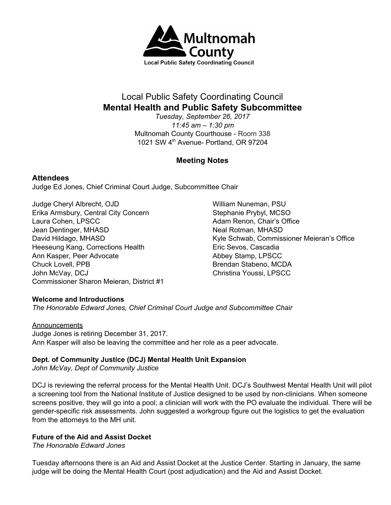

# Local Public Safety Coordinating Council **Mental Health and Public Safety Subcommittee**

*Tuesday, September 26, 2017 11:45 am – 1:30 pm* Multnomah County Courthouse - Room 338 1021 SW 4<sup>th</sup> Avenue- Portland, OR 97204

## **Meeting Notes**

### **Attendees**

Judge Ed Jones, Chief Criminal Court Judge, Subcommittee Chair

Judge Cheryl Albrecht, OJD Erika Armsbury, Central City Concern Laura Cohen, LPSCC Jean Dentinger, MHASD David Hildago, MHASD Heeseung Kang, Corrections Health Ann Kasper, Peer Advocate Chuck Lovell, PPB John McVay, DCJ Commissioner Sharon Meieran, District #1 William Nuneman, PSU Stephanie Prybyl, MCSO Adam Renon, Chair's Office Neal Rotman, MHASD Kyle Schwab, Commissioner Meieran's Office Eric Sevos, Cascadia Abbey Stamp, LPSCC Brendan Stabeno, MCDA Christina Youssi, LPSCC

### **Welcome and Introductions**

*The Honorable Edward Jones, Chief Criminal Court Judge and Subcommittee Chair*

### **Announcements**

Judge Jones is retiring December 31, 2017. Ann Kasper will also be leaving the committee and her role as a peer advocate.

### **Dept. of Community Justice (DCJ) Mental Health Unit Expansion**

*John McVay, Dept of Community Justice*

DCJ is reviewing the referral process for the Mental Health Unit. DCJ's Southwest Mental Health Unit will pilot a screening tool from the National Institute of Justice designed to be used by non-clinicians. When someone screens positive, they will go into a pool; a clinician will work with the PO evaluate the individual. There will be gender-specific risk assessments. John suggested a workgroup figure out the logistics to get the evaluation from the attorneys to the MH unit.

### **Future of the Aid and Assist Docket**

*The Honorable Edward Jones*

Tuesday afternoons there is an Aid and Assist Docket at the Justice Center. Starting in January, the same judge will be doing the Mental Health Court (post adjudication) and the Aid and Assist Docket.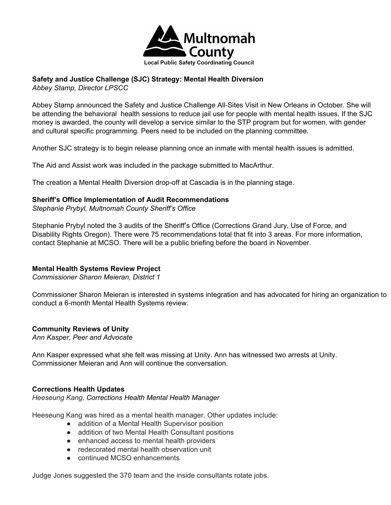

# **Safety and Justice Challenge (SJC) Strategy: Mental Health Diversion**

*Abbey Stamp, Director LPSCC*

Abbey Stamp announced the Safety and Justice Challenge All-Sites Visit in New Orleans in October. She will be attending the behavioral health sessions to reduce jail use for people with mental health issues. If the SJC money is awarded, the county will develop a service similar to the STP program but for women, with gender and cultural specific programming. Peers need to be included on the planning committee.

Another SJC strategy is to begin release planning once an inmate with mental health issues is admitted.

The Aid and Assist work was included in the package submitted to MacArthur.

The creation a Mental Health Diversion drop-off at Cascadia is in the planning stage.

### **Sheriff's Office Implementation of Audit Recommendations**

*Stephanie Prybyl, Multnomah County Sheriff's Office*

Stephanie Prybyl noted the 3 audits of the Sheriff's Office (Corrections Grand Jury, Use of Force, and Disability Rights Oregon). There were 75 recommendations total that fit into 3 areas. For more information, contact Stephanie at MCSO. There will be a public briefing before the board in November.

### **Mental Health Systems Review Project**

*Commissioner Sharon Meieran, District 1*

Commissioner Sharon Meieran is interested in systems integration and has advocated for hiring an organization to conduct a 6-month Mental Health Systems review.

### **Community Reviews of Unity**

*Ann Kasper, Peer and Advocate*

Ann Kasper expressed what she felt was missing at Unity. Ann has witnessed two arrests at Unity. Commissioner Meieran and Ann will continue the conversation.

### **Corrections Health Updates**

*Heeseung Kang, Corrections Health Mental Health Manager*

Heeseung Kang was hired as a mental health manager. Other updates include:

- addition of a Mental Health Supervisor position
- addition of two Mental Health Consultant positions
- enhanced access to mental health providers
- redecorated mental health observation unit
- continued MCSO enhancements

Judge Jones suggested the 370 team and the inside consultants rotate jobs.